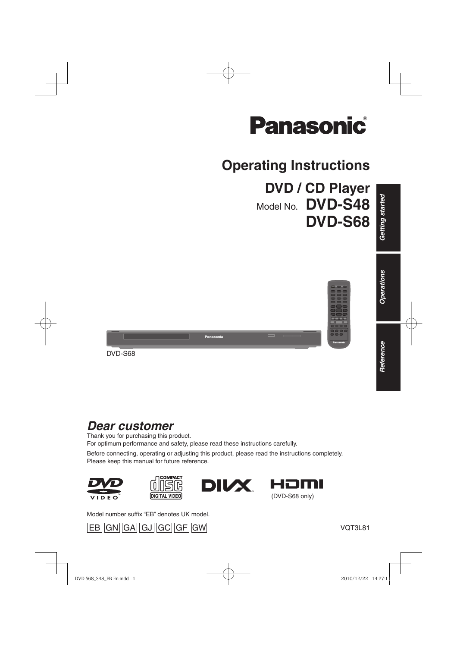

# **Operating Instructions DVD / CD Player**

Model No. **DVD-S48**

*Reference*

Reference



 **DVD-S68**



# *Dear customer*

Thank you for purchasing this product. For optimum performance and safety, please read these instructions carefully.

Before connecting, operating or adjusting this product, please read the instructions completely. Please keep this manual for future reference.



Model number suffix "EB" denotes UK model.



VQT3L81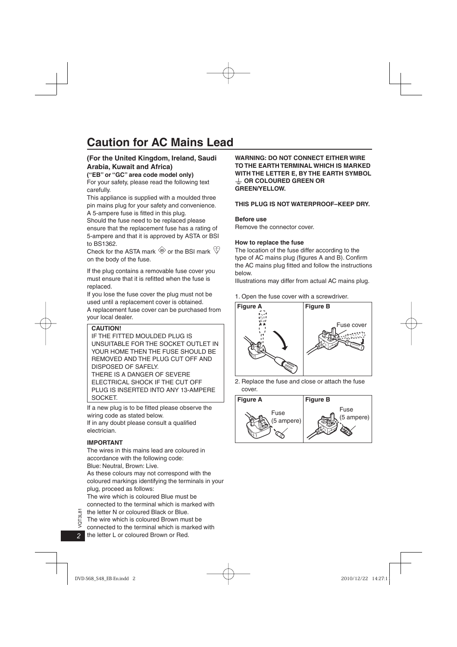# **Caution for AC Mains Lead**

# **(For the United Kingdom, Ireland, Saudi Arabia, Kuwait and Africa)**

# **("EB" or "GC" area code model only)**

For your safety, please read the following text carefully.

This appliance is supplied with a moulded three pin mains plug for your safety and convenience. A 5-ampere fuse is fitted in this plug.

Should the fuse need to be replaced please ensure that the replacement fuse has a rating of 5-ampere and that it is approved by ASTA or BSI to BS1362.

Check for the ASTA mark  $\circledast$  or the BSI mark  $\circledast$ on the body of the fuse.

If the plug contains a removable fuse cover you must ensure that it is refitted when the fuse is replaced.

If you lose the fuse cover the plug must not be used until a replacement cover is obtained.

A replacement fuse cover can be purchased from your local dealer.

# **CAUTION!**

IF THE FITTED MOULDED PLUG IS UNSUITABLE FOR THE SOCKET OUTLET IN YOUR HOME THEN THE FUSE SHOULD BE REMOVED AND THE PLUG CUT OFF AND DISPOSED OF SAFELY.

THERE IS A DANGER OF SEVERE ELECTRICAL SHOCK IF THE CUT OFF PLUG IS INSERTED INTO ANY 13-AMPERE SOCKET.

If a new plug is to be fitted please observe the wiring code as stated below.

If in any doubt please consult a qualified electrician.

# **IMPORTANT**

The wires in this mains lead are coloured in accordance with the following code: Blue: Neutral, Brown: Live.

As these colours may not correspond with the coloured markings identifying the terminals in your plug, proceed as follows:

The wire which is coloured Blue must be connected to the terminal which is marked with

the letter N or coloured Black or Blue.

The wire which is coloured Brown must be

connected to the terminal which is marked with

the letter L or coloured Brown or Red.

**WARNING: DO NOT CONNECT EITHER WIRE TO THE EARTH TERMINAL WHICH IS MARKED WITH THE LETTER E, BY THE EARTH SYMBOL**   $\perp$  OR COLOURED GREEN OR **GREEN/YELLOW.**

### **THIS PLUG IS NOT WATERPROOF–KEEP DRY.**

### **Before use**

Remove the connector cover.

### **How to replace the fuse**

The location of the fuse differ according to the type of AC mains plug (figures A and B). Confirm the AC mains plug fitted and follow the instructions below.

Illustrations may differ from actual AC mains plug.

1. Open the fuse cover with a screwdriver.



2. Replace the fuse and close or attach the fuse cover.

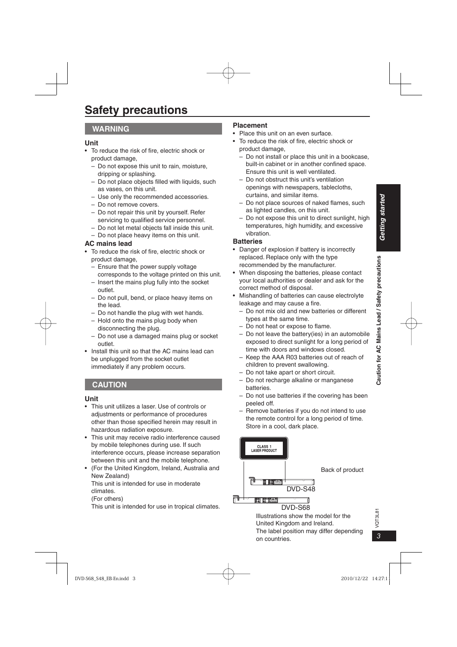# **WARNING**

# **Unit**

- $\bullet~$  To reduce the risk of fire, electric shock or product damage,
	- Do not expose this unit to rain, moisture, dripping or splashing.
	- Do not place objects filled with liquids, such as vases, on this unit.
	- Use only the recommended accessories. –
	- Do not remove covers. –
	- Do not repair this unit by yourself. Refer servicing to qualified service personnel.
	- Do not let metal objects fall inside this unit.
	- Do not place heavy items on this unit.

# **AC mains lead**

- To reduce the risk of fire, electric shock or product damage,
	- Ensure that the power supply voltage corresponds to the voltage printed on this unit.
	- Insert the mains plug fully into the socket outlet.
	- Do not pull, bend, or place heavy items on the lead.
	- Do not handle the plug with wet hands.
	- Hold onto the mains plug body when disconnecting the plug.
	- Do not use a damaged mains plug or socket outlet.
- Install this unit so that the AC mains lead can be unplugged from the socket outlet immediately if any problem occurs. •

# **CAUTION**

# **Unit**

- This unit utilizes a laser. Use of controls or adjustments or performance of procedures other than those specified herein may result in hazardous radiation exposure.
- This unit may receive radio interference caused by mobile telephones during use. If such interference occurs, please increase separation between this unit and the mobile telephone. •
- (For the United Kingdom, Ireland, Australia and New Zealand)

This unit is intended for use in moderate climates.

(For others)

This unit is intended for use in tropical climates.

# **Placement**

- Place this unit on an even surface.
- To reduce the risk of fire, electric shock or product damage,
	- Do not install or place this unit in a bookcase, built-in cabinet or in another confined space. Ensure this unit is well ventilated.
	- Do not obstruct this unit's ventilation openings with newspapers, tablecloths, curtains, and similar items.
	- Do not place sources of naked flames, such as lighted candles, on this unit.
	- Do not expose this unit to direct sunlight, high temperatures, high humidity, and excessive vibration.

# **Batteries**

- Danger of explosion if battery is incorrectly replaced. Replace only with the type recommended by the manufacturer.
- When disposing the batteries, please contact your local authorities or dealer and ask for the correct method of disposal.
- Mishandling of batteries can cause electrolyte leakage and may cause a fire.
	- Do not mix old and new batteries or different types at the same time.
	- Do not heat or expose to flame.
	- Do not leave the battery(ies) in an automobile exposed to direct sunlight for a long period of time with doors and windows closed.
	- Keep the AAA R03 batteries out of reach of children to prevent swallowing.
	- Do not take apart or short circuit.
	- Do not recharge alkaline or manganese batteries.
	- Do not use batteries if the covering has been peeled off.
	- Remove batteries if you do not intend to use the remote control for a long period of time. Store in a cool, dark place.



Illustrations show the model for the United Kingdom and Ireland. The label position may differ depending on countries.

VQT3L81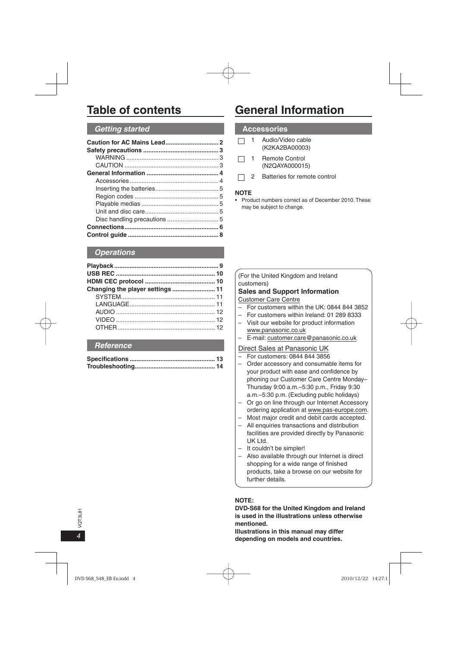# *Getting started*

# *Operations*

# *Reference*

# **Table of contents General Information**

# **Accessories**

| $\Box$ | Audio/Video cable<br>(K2KA2BA00003) |
|--------|-------------------------------------|
|        |                                     |

- 1 Remote Control (N2QAYA000015)
- 2 Batteries for remote control □

### **NOTE**

• Product numbers correct as of December 2010. These may be subject to change.

(For the United Kingdom and Ireland customers)

### **Sales and Support Information** Customer Care Centre

- 
- For customers within the UK: 0844 844 3852
- For customers within Ireland: 01 289 8333 - Visit our website for product information www.panasonic.co.uk –
- E-mail: customer.care@panasonic.co.uk –

# Direct Sales at Panasonic UK

- For customers: 0844 844 3856 –
- Order accessory and consumable items for your product with ease and confidence by phoning our Customer Care Centre Monday– Thursday 9:00 a.m.–5:30 p.m., Friday 9:30 a.m.–5:30 p.m. (Excluding public holidays)
- Or go on line through our Internet Accessory ordering application at www.pas-europe.com.
- Most major credit and debit cards accepted.
- All enquiries transactions and distribution facilities are provided directly by Panasonic UK Ltd.
- It couldn't be simpler!
- Also available through our Internet is direct shopping for a wide range of finished products, take a browse on our website for further details.

# **NOTE:**

**DVD-S68 for the United Kingdom and Ireland is used in the illustrations unless otherwise mentioned.**

**Illustrations in this manual may differ depending on models and countries.**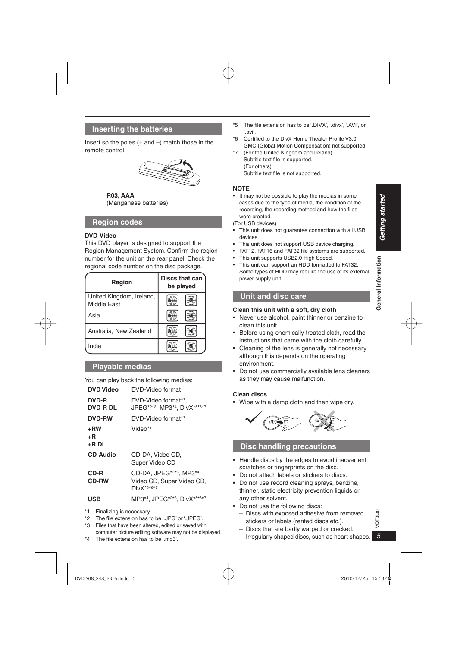**General Information**

General Information

# **Inserting the batteries**

Insert so the poles  $(+$  and  $-)$  match those in the remote control.



### **R03, AAA**

(Manganese batteries)

# **Region codes**

### **DVD-Video**

This DVD player is designed to support the Region Management System. Confirm the region number for the unit on the rear panel. Check the regional code number on the disc package.

| Region                                         | Discs that can<br>be played |
|------------------------------------------------|-----------------------------|
| United Kingdom, Ireland,<br><b>Middle East</b> |                             |
| Asia                                           |                             |
| Australia, New Zealand                         |                             |
| India                                          |                             |

# **Playable medias**

You can play back the following medias:

| <b>DVD Video</b>         | DVD-Video format                                                                                  |
|--------------------------|---------------------------------------------------------------------------------------------------|
| <b>DVD-R</b><br>DVD-R DL | DVD-Video format*1.<br>JPEG*2*3, MP3*4, DivX*5*6*7                                                |
| <b>DVD-RW</b>            | DVD-Video format*1                                                                                |
| +RW<br>+R<br>+R DL       | Video* <sup>1</sup>                                                                               |
| <b>CD-Audio</b>          | CD-DA. Video CD.<br>Super Video CD                                                                |
| CD-R<br><b>CD-RW</b>     | CD-DA, JPEG <sup>*2*3</sup> , MP3 <sup>*4</sup> ,<br>Video CD, Super Video CD,<br>$DivX^{*5*6*7}$ |
| USB                      | MP3*4, JPEG*2*3, DivX*5*6*7                                                                       |

- \*1 Finalizing is necessary.
- \*2 The file extension has to be '.JPG' or '.JPEG'.
- \*3 Files that have been altered, edited or saved with computer picture editing software may not be displayed.
- \*4 The file extension has to be '.mp3'.
- \*5 The file extension has to be '.DIVX', '.divx', '.AVI', or '.avi'.
- \*6 Certified to the DivX Home Theater Profile V3.0. GMC (Global Motion Compensation) not supported.
- \*7 (For the United Kingdom and Ireland) Subtitle text file is supported. (For others) Subtitle text file is not supported.

### **NOTE**

• It may not be possible to play the medias in some cases due to the type of media, the condition of the recording, the recording method and how the files were created.

(For USB devices)

- This unit does not guarantee connection with all USB devices.
- This unit does not support USB device charging. •
- FAT12, FAT16 and FAT32 file systems are supported. •
- This unit supports USB2.0 High Speed. •
- This unit can support an HDD formatted to FAT32. Some types of HDD may require the use of its external power supply unit. •

# **Unit and disc care**

### **Clean this unit with a soft, dry cloth**

- Never use alcohol, paint thinner or benzine to clean this unit.
- Before using chemically treated cloth, read the instructions that came with the cloth carefully.
- Cleaning of the lens is generally not necessary although this depends on the operating environment.
- Do not use commercially available lens cleaners as they may cause malfunction.

### **Clean discs**

Wipe with a damp cloth and then wipe dry. •



# **Disc handling precautions**

- Handle discs by the edges to avoid inadvertent scratches or fingerprints on the disc.
- Do not attach labels or stickers to discs.
- Do not use record cleaning sprays, benzine, thinner, static electricity prevention liquids or any other solvent.
- Do not use the following discs:
	- Discs with exposed adhesive from removed stickers or labels (rented discs etc.).
	- Discs that are badly warped or cracked.

**/QT3L81**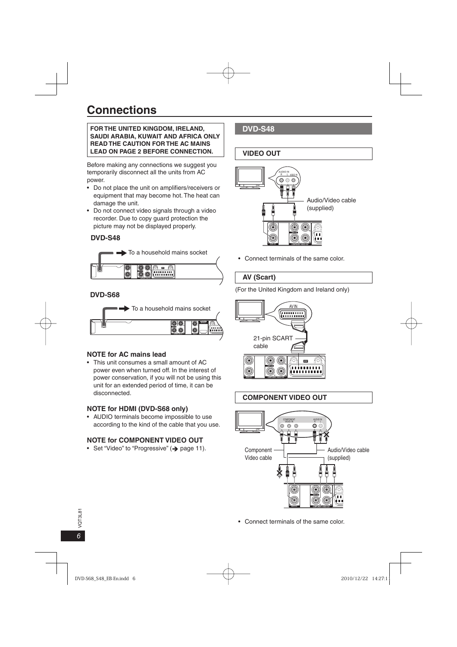# **FOR THE UNITED KINGDOM, IRELAND, SAUDI ARABIA, KUWAIT AND AFRICA ONLY READ THE CAUTION FOR THE AC MAINS LEAD ON PAGE 2 BEFORE CONNECTION.**

Before making any connections we suggest you temporarily disconnect all the units from AC power.

- Do not place the unit on amplifiers/receivers or equipment that may become hot. The heat can damage the unit.
- Do not connect video signals through a video recorder. Due to copy guard protection the picture may not be displayed properly.

# **DVD-S48**



# **DVD-S68**



# **NOTE for AC mains lead**

This unit consumes a small amount of AC • power even when turned off. In the interest of power conservation, if you will not be using this unit for an extended period of time, it can be disconnected.

# **NOTE for HDMI (DVD-S68 only)**

AUDIO terminals become impossible to use • according to the kind of the cable that you use.

# **NOTE for COMPONENT VIDEO OUT**

• Set "Video" to "Progressive" ( $\rightarrow$  page 11).

# **DVD-S48**

# **VIDEO OUT**



• Connect terminals of the same color.

# **AV (Scart)**

(For the United Kingdom and Ireland only)



# **COMPONENT VIDEO OUT**



• Connect terminals of the same color.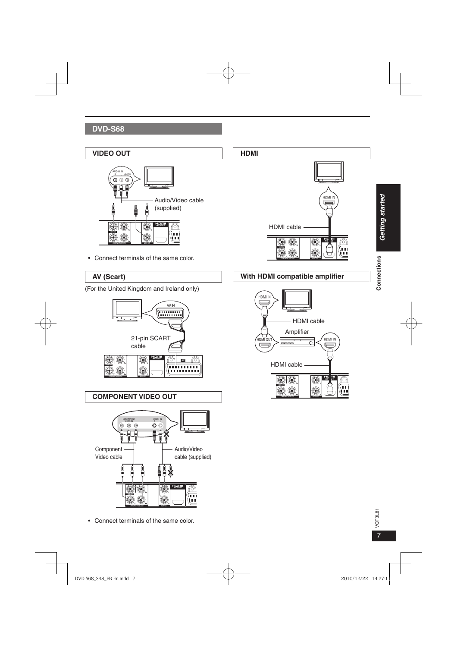# **DVD-S68**

# **VIDEO OUT**



• Connect terminals of the same color.

# **AV (Scart)**

(For the United Kingdom and Ireland only)



# **COMPONENT VIDEO OUT**



• Connect terminals of the same color.

# HDMI IN  $\Box$ HDMI cable **AV OUT** 0 0 Ó in ma 6 6

**HDMI**

# **With HDMI compatible amplifier**

**COMPUTER VIDEO OUT AUDIO OUT** 

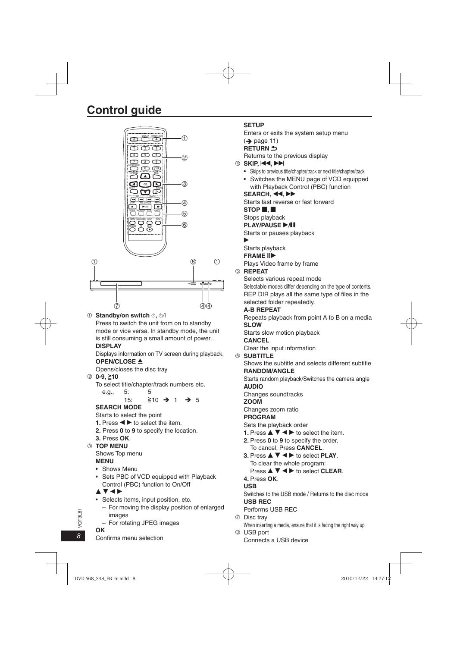# **Control guide**



# **1** Standby/on switch  $\circ$ ,  $\circ$ /

Press to switch the unit from on to standby mode or vice versa. In standby mode, the unit is still consuming a small amount of power. **DISPLAY**

Displays information on TV screen during playback. **OPEN/CLOSE ≜** 

Opens/closes the disc tray

# **② 0-9, 210**

To select title/chapter/track numbers etc.

e.g., 5: 5

15: 
$$
\geq 10 \rightarrow 1 \rightarrow 5
$$

# **SEARCH MODE**

Starts to select the point

- **1.** Press  $\blacktriangleleft$   $\blacktriangleright$  to select the item.
- **2.** Press **0** to **9** to specify the location.

# **3.** Press **OK**.

3 **TOP MENU**

Shows Top menu

# **MENU**

- Shows Menu
- Sets PBC of VCD equipped with Playback Control (PBC) function to On/Off

# $\blacktriangle$  V d  $\blacktriangleright$

- Selects items, input position, etc.
	- For moving the display position of enlarged images
	- For rotating JPEG images

# **OK**

Confirms menu selection

# **SETUP**

Enters or exits the system setup menu  $\leftrightarrow$  page 11) **RETURN** 

Returns to the previous display

- **4** SKIP, **44, PH** 
	- Skips to previous title/chapter/track or next title/chapter/track
	- Switches the MENU page of VCD equipped with Playback Control (PBC) function

# **SEARCH, 44. PP**

Starts fast reverse or fast forward

# **STOP** g**,** g

# Stops playback

### **PLAY/PAUSE**  $\blacktriangleright$ **/H**

Starts or pauses playback

# ▶

Starts playback

# **FRAME III**

Plays Video frame by frame

# 5 **REPEAT**

Selects various repeat mode Selectable modes differ depending on the type of contents. REP DIR plays all the same type of files in the selected folder repeatedly.

# **A-B REPEAT**

Repeats playback from point A to B on a media **SLOW**

Starts slow motion playback **CANCEL**

Clear the input information

# 6 **SUBTITLE**

Shows the subtitle and selects different subtitle **RANDOM/ANGLE**

Starts random playback/Switches the camera angle **AUDIO**

Changes soundtracks

# **ZOOM**

Changes zoom ratio

# **PROGRAM**

Sets the playback order

- **1.** Press  $\triangle \blacktriangledown \blacktriangle \blacktriangleright$  to select the item.
- **2.** Press **0** to **9** to specify the order. To cancel: Press **CANCEL**.
- **3. Press**  $\triangle \blacktriangledown \blacktriangleleft \blacktriangleright$  **to select PLAY.** To clear the whole program:

Press **A**  $∇$  ◀ ▶ to select **CLEAR**.

# **4.** Press **OK**.

# **USB**

Switches to the USB mode / Returns to the disc mode **USB REC**

Performs USB REC

- 7 Disc tray
	- When inserting a media, ensure that it is facing the right way up.
- 8 USB port Connects a USB device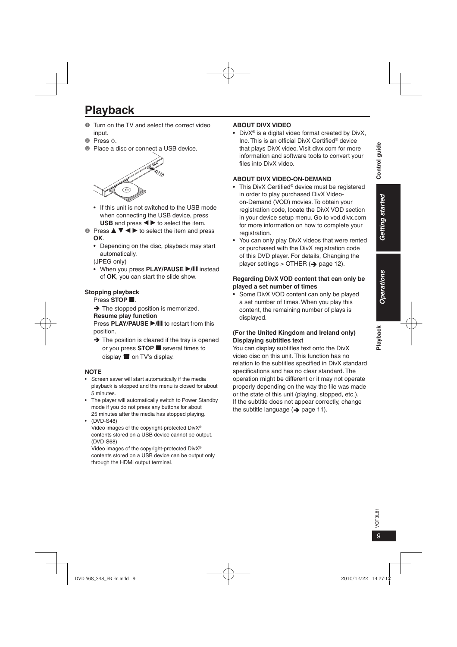# **Playback**

- $\bullet$  Turn on the TV and select the correct video input.
- **<sup>2</sup>** Press  $\circlearrowleft$ .
- 3 Place a disc or connect a USB device.



- If this unit is not switched to the USB mode when connecting the USB device, press **USB** and press  $\blacktriangleleft$  to select the item.
- $\bullet$  Press  $\blacktriangle \blacktriangledown \blacktriangle \blacktriangleright$  to select the item and press **OK**.
	- Depending on the disc, playback may start automatically.

(JPEG only)

• When you press **PLAY/PAUSE D**/II instead of **OK** you can start the slide show of **OK**, you can start the slide show.

# **Stopping playback**

Press **STOP extend** 

 $\rightarrow$  The stopped position is memorized. **Resume play function**

**Press PLAY/PAUSE D**/H to restart from this position.

 $\rightarrow$  The position is cleared if the tray is opened or you press **STOP** several times to display '" on TV's display.

# **NOTE**

- Screen saver will start automatically if the media playback is stopped and the menu is closed for about 5 minutes.
- The player will automatically switch to Power Standby mode if you do not press any buttons for about 25 minutes after the media has stopped playing.
- (DVD-S48) •

Video images of the copyright-protected DivX® contents stored on a USB device cannot be output. (DVD-S68)

Video images of the copyright-protected DivX® contents stored on a USB device can be output only through the HDMI output terminal.

# **ABOUT DIVX VIDEO**

• DivX® is a digital video format created by DivX, Inc. This is an official DivX Certified<sup>®</sup> device that plays DivX video. Visit divx.com for more information and software tools to convert your files into DivX video.

# **ABOUT DIVX VIDEO-ON-DEMAND**

- This DivX Certified<sup>®</sup> device must be registered in order to play purchased DivX Videoon-Demand (VOD) movies. To obtain your registration code, locate the DivX VOD section in your device setup menu. Go to vod.divx.com for more information on how to complete your registration.
- You can only play DivX videos that were rented or purchased with the DivX registration code of this DVD player. For details, Changing the player settings > OTHER  $\rightarrow$  page 12).

# **Regarding DivX VOD content that can only be played a set number of times**

• Some DivX VOD content can only be played a set number of times. When you play this content, the remaining number of plays is displayed.

# **(For the United Kingdom and Ireland only) Displaying subtitles text**

You can display subtitles text onto the DivX video disc on this unit. This function has no relation to the subtitles specified in DivX standard specifications and has no clear standard. The operation might be different or it may not operate properly depending on the way the file was made or the state of this unit (playing, stopped, etc.). If the subtitle does not appear correctly, change the subtitle language  $\implies$  page 11).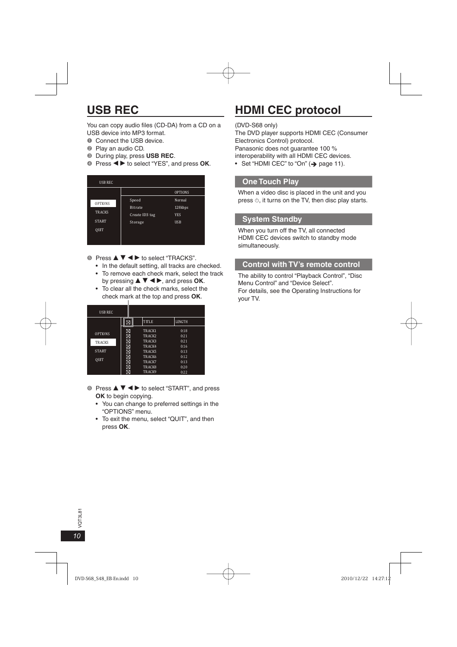You can copy audio files (CD-DA) from a CD on a USB device into MP3 format.

- **1** Connect the USB device.
- <sup>2</sup> Play an audio CD.
- 3 During play, press **USB REC**.
- <sup>4</sup> Press w q to select "YES", and press **OK**.

| <b>USB REC</b>                                  |                                                      |                                               |
|-------------------------------------------------|------------------------------------------------------|-----------------------------------------------|
|                                                 |                                                      | <b>OPTIONS</b>                                |
| <b>OPTIONS</b><br><b>TRACKS</b><br><b>START</b> | Speed<br><b>Bitrate</b><br>Create ID3 tag<br>Storage | Normal<br>128kbps<br><b>YES</b><br><b>USB</b> |
| QUIT                                            |                                                      |                                               |

- **Press ▲ ▼ ◆ to select "TRACKS".**<br>• In the default setting, all tracks are checked.
	- To remove each check mark, select the track by pressing  $\triangle \blacktriangledown \blacktriangle \blacktriangleright$ , and press **OK**.
	- To clear all the check marks, select the check mark at the top and press **OK**.

| <b>USB REC</b> |   |                    |               |
|----------------|---|--------------------|---------------|
|                | × | <b>TITLE</b>       | <b>LENGTH</b> |
| <b>OPTIONS</b> | Ø | TRACK1             | 0:18          |
|                | 冈 | TRACK <sub>2</sub> | 0:21          |
| <b>TRACKS</b>  | ⊠ | TRACK3             | 0:21          |
| <b>START</b>   | 区 | TRACK4             | 0:16          |
|                | ⊠ | TRACK5             | 0:13          |
| QUIT           | 図 | <b>TRACK6</b>      | 0:12          |
|                | ⊠ | TRACK7             | 0:13          |
|                | 図 | TRACK8             | 0:20          |
|                | ⊠ | TRACK9             | 0:22          |

- $\bullet$  Press  $\blacktriangle \blacktriangledown \blacktriangle \blacktriangleright$  to select "START", and press **OK** to begin copying.
	- You can change to preferred settings in the "OPTIONS" menu.
	- To exit the menu, select "QUIT", and then press **OK**.

# **USB REC HDMI CEC protocol**

# (DVD-S68 only)

The DVD player supports HDMI CEC (Consumer Electronics Control) protocol.

Panasonic does not guarantee 100 % interoperability with all HDMI CEC devices.

• Set "HDMI CEC" to "On"  $($   $\rightarrow$  page 11).

# **One Touch Play**

When a video disc is placed in the unit and you press  $\circlearrowleft$ , it turns on the TV, then disc play starts.

# **System Standby**

When you turn off the TV, all connected HDMI CEC devices switch to standby mode simultaneously.

# **Control with TV's remote control**

The ability to control "Playback Control", "Disc Menu Control" and "Device Select". For details, see the Operating Instructions for your TV.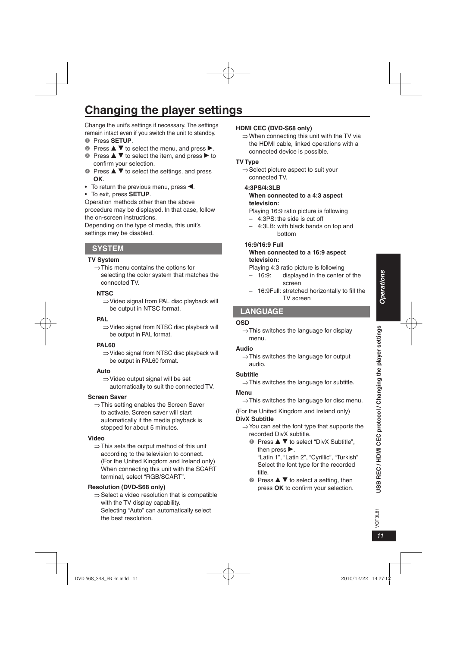# **Changing the player settings**

Change the unit's settings if necessary. The settings remain intact even if you switch the unit to standby.

- 
- **Press SETUP.**<br>● Press ▲ ▼ to select the menu. and press ▶. 2 Press  $\blacktriangle \blacktriangledown$  to select the menu, and press  $\blacktriangleright$  to select the item and press  $\blacktriangleright$  to
- **3** Press  $\blacktriangle \blacktriangledown$  to select the item, and press  $\blacktriangleright$  to confirm your selection confirm your selection.
- $\bullet$  Press  $\blacktriangle \blacktriangledown$  to select the settings, and press **OK**.
- To return the previous menu, press ◀.<br>• To evit press SFTUP
- To exit, press **SETUP**. •

Operation methods other than the above procedure may be displayed. In that case, follow the on-screen instructions.

Depending on the type of media, this unit's settings may be disabled.

# **SYSTEM**

# **TV System**

⇒This menu contains the options for selecting the color system that matches the connected TV.

### **NTSC**

### **PAL**

⇒Video signal from NTSC disc playback will be output in PAL format.

# **PAL60**

⇒Video signal from NTSC disc playback will be output in PAL60 format.

# **Auto**

⇒Video output signal will be set automatically to suit the connected TV.

# **Screen Saver**

⇒This setting enables the Screen Saver to activate. Screen saver will start automatically if the media playback is stopped for about 5 minutes.

# **Video**

⇒This sets the output method of this unit according to the television to connect. (For the United Kingdom and Ireland only) When connecting this unit with the SCART terminal, select "RGB/SCART".

# **Resolution (DVD-S68 only)**

⇒Select a video resolution that is compatible with the TV display capability. Selecting "Auto" can automatically select the best resolution.

# **HDMI CEC (DVD-S68 only)**

⇒When connecting this unit with the TV via the HDMI cable, linked operations with a connected device is possible.

# **TV Type**

 $\Rightarrow$  Select picture aspect to suit your connected TV.

### **4:3PS/4:3LB**

### **When connected to a 4:3 aspect television:**

Playing 16:9 ratio picture is following

- 4:3PS: the side is cut off –
- 4:3LB: with black bands on top and bottom

# **16:9/16:9 Full**

### **When connected to a 16:9 aspect television:**

Playing 4:3 ratio picture is following

- displayed in the center of the screen  $-16:9:$
- 16:9Full: stretched horizontally to fill the TV screen –

# **LANGUAGE**

### **OSD**

### ⇒ This switches the language for display menu.

# **Audio**

 $\Rightarrow$  This switches the language for output audio.

# **Subtitle**

⇒This switches the language for subtitle.

# **Menu**

⇒This switches the language for disc menu.

(For the United Kingdom and Ireland only)

# **DivX Subtitle**

- ⇒ You can set the font type that supports the recorded DivX subtitle.
	- $\bullet$  Press  $\blacktriangle \blacktriangledown$  to select "DivX Subtitle". then press  $\blacktriangleright$ . "Latin 1", "Latin 2", "Cyrillic", "Turkish"

 Select the font type for the recorded title.

**2** Press  $\triangle \blacktriangledown$  to select a setting, then press **OK** to confirm your selection. **Operations** 

**/QT3L81** 

<sup>⇒</sup>Video signal from PAL disc playback will be output in NTSC format.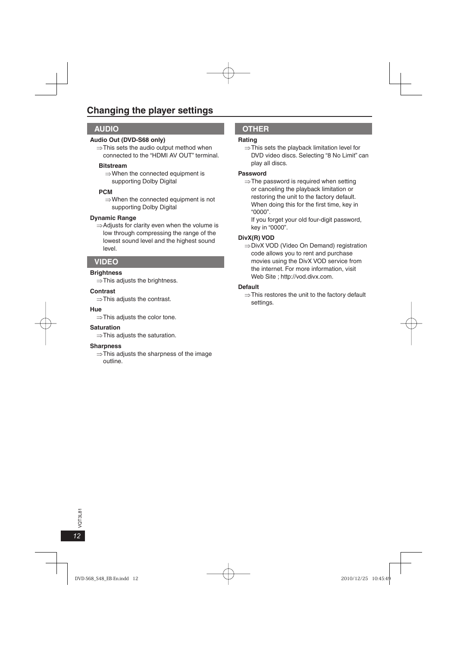# **AUDIO**

# **Audio Out (DVD-S68 only)**

⇒This sets the audio output method when connected to the "HDMI AV OUT" terminal.

### **Bitstream**

When the connected equipment is ⇒ supporting Dolby Digital

# **PCM**

When the connected equipment is not ⇒ supporting Dolby Digital

# **Dynamic Range**

Adjusts for clarity even when the volume is ⇒ low through compressing the range of the lowest sound level and the highest sound level.

# **VIDEO**

### **Brightness**

⇒This adjusts the brightness.

### **Contrast**

⇒This adjusts the contrast.

### **Hue**

⇒This adjusts the color tone.

# **Saturation**

⇒This adjusts the saturation.

# **Sharpness**

⇒This adjusts the sharpness of the image outline.

# **OTHER**

### **Rating**

This sets the playback limitation level for ⇒ DVD video discs. Selecting "8 No Limit" can play all discs.

# **Password**

⇒The password is required when setting or canceling the playback limitation or restoring the unit to the factory default. When doing this for the first time, key in "0000".

If you forget your old four-digit password, key in "0000".

# **DivX(R) VOD**

⇒DivX VOD (Video On Demand) registration code allows you to rent and purchase movies using the DivX VOD service from the internet. For more information, visit Web Site ; http://vod.divx.com.

### **Default**

⇒This restores the unit to the factory default settings.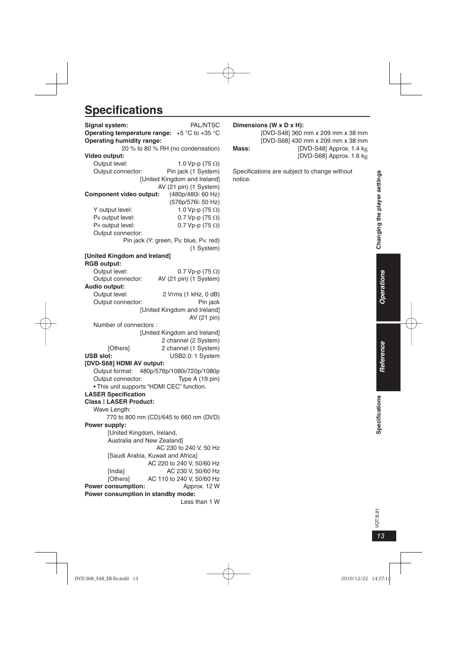# **Specifications**

| Signal system:                     | PAL/NTSC                                  |  |
|------------------------------------|-------------------------------------------|--|
| Operating temperature range:       | +5 $\degree$ C to +35 $\degree$ C         |  |
| <b>Operating humidity range:</b>   |                                           |  |
|                                    | 20 % to 80 % RH (no condensation)         |  |
| Video output:                      |                                           |  |
| Output level:                      | 1.0 Vp-p (75 $\Omega$ )                   |  |
| Output connector:                  | Pin jack (1 System)                       |  |
|                                    | [United Kingdom and Ireland]              |  |
|                                    | AV (21 pin) (1 System)                    |  |
| Component video output:            | (480p/480i: 60 Hz)                        |  |
|                                    | (576p/576i: 50 Hz)                        |  |
| Y output level:                    | 1.0 Vp-p (75 Ω)                           |  |
| P <sub>B</sub> output level:       | 0.7 Vp-p (75 Ω)                           |  |
| PR output level:                   | 0.7 Vp-p (75 Ω)                           |  |
| Output connector:                  |                                           |  |
|                                    | Pin jack (Y: green, PB: blue, PR: red)    |  |
|                                    | (1 System)                                |  |
| [United Kingdom and Ireland]       |                                           |  |
| <b>RGB output:</b>                 |                                           |  |
| Output level:                      | 0.7 Vp-p (75 $\Omega$ )                   |  |
| Output connector:                  | AV (21 pin) (1 System)                    |  |
| Audio output:                      |                                           |  |
| Output level:                      | 2 Vrms (1 kHz, 0 dB)                      |  |
| Output connector:                  | Pin jack                                  |  |
|                                    | [United Kingdom and Ireland]              |  |
|                                    | AV (21 pin)                               |  |
| Number of connectors :             |                                           |  |
|                                    | [United Kingdom and Ireland]              |  |
|                                    | 2 channel (2 System)                      |  |
| [Others]                           | 2 channel (1 System)                      |  |
| <b>USB slot:</b>                   | USB2.0: 1 System                          |  |
| [DVD-S68] HDMI AV output:          |                                           |  |
| Output format:                     | 480p/576p/1080i/720p/1080p                |  |
| Output connector:                  | Type A (19 pin)                           |  |
|                                    | . This unit supports "HDMI CEC" function. |  |
| <b>LASER Specification</b>         |                                           |  |
| <b>Class I LASER Product:</b>      |                                           |  |
| Wave Length:                       |                                           |  |
|                                    | 770 to 800 nm (CD)/645 to 660 nm (DVD)    |  |
| Power supply:                      |                                           |  |
| [United Kingdom, Ireland,          |                                           |  |
| Australia and New Zealand]         |                                           |  |
|                                    | AC 230 to 240 V, 50 Hz                    |  |
|                                    | [Saudi Arabia, Kuwait and Africa]         |  |
|                                    | AC 220 to 240 V, 50/60 Hz                 |  |
| [India]                            | AC 230 V, 50/60 Hz                        |  |
| [Others]                           | AC 110 to 240 V, 50/60 Hz                 |  |
| Power consumption:                 | Approx. 12 W                              |  |
| Power consumption in standby mode: |                                           |  |
|                                    | Less than 1 W                             |  |
|                                    |                                           |  |

# **Dimensions (W x D x H):**

 [DVD-S48] 360 mm x 209 mm x 38 mm [DVD-S68] 430 mm x 209 mm x 38 mm **Mass:** [DVD-S48] Approx. 1.4 kg [DVD-S68] Approx. 1.6 kg

Specifications are subject to change without notice.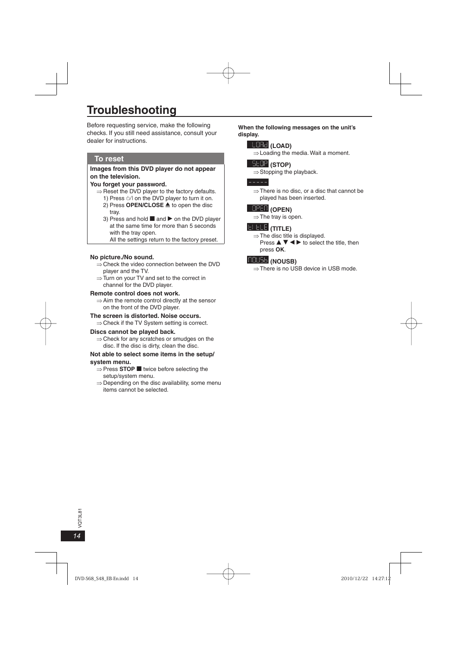# **Troubleshooting**

Before requesting service, make the following checks. If you still need assistance, consult your dealer for instructions.

# **To reset**

### **Images from this DVD player do not appear on the television.**

### **You forget your password.**

- $\Rightarrow$  Reset the DVD player to the factory defaults.
	- 1) Press  $\bigcirc$ /l on the DVD player to turn it on.<br>2) Press **OPFN/CLOSE A** to open the disc 2) Press **OPEN/CLOSE ≜** to open the disc<br>trav tray.
	- 3) Press and hold  $\blacksquare$  and  $\triangleright$  on the DVD player at the same time for more than 5 seconds at the same time for more than 5 seconds with the tray open.
		- All the settings return to the factory preset.

### **No picture./No sound.**

- $\Rightarrow$  Check the video connection between the DVD player and the TV.
- ⇒Turn on your TV and set to the correct in channel for the DVD player.

### **Remote control does not work.**

 $\Rightarrow$  Aim the remote control directly at the sensor on the front of the DVD player.

### **The screen is distorted. Noise occurs.**

⇒Check if the TV System setting is correct.

### **Discs cannot be played back.**

 $\Rightarrow$  Check for any scratches or smudges on the disc. If the disc is dirty, clean the disc.

# **Not able to select some items in the setup/**

### **system menu.**

- ⇒ Press **STOP ■** twice before selecting the<br>setup/system menu setup/system menu.
- $\Rightarrow$  Depending on the disc availability, some menu items cannot be selected.

### **When the following messages on the unit's display.**

# **(LOAD)**

⇒Loading the media. Wait a moment.

# **SHIP** (STOP)

⇒Stopping the playback.

 $\Rightarrow$  There is no disc, or a disc that cannot be played has been inserted.

### **CPEN** (OPEN)

⇒The tray is open.

# **(TITLE)**

- $\Rightarrow$  The disc title is displayed.
	- Press  $\blacktriangle \blacktriangledown \blacktriangle \blacktriangleright$  to select the title, then press **OK**.

# **REFER** (NOUSB)

⇒There is no USB device in USB mode.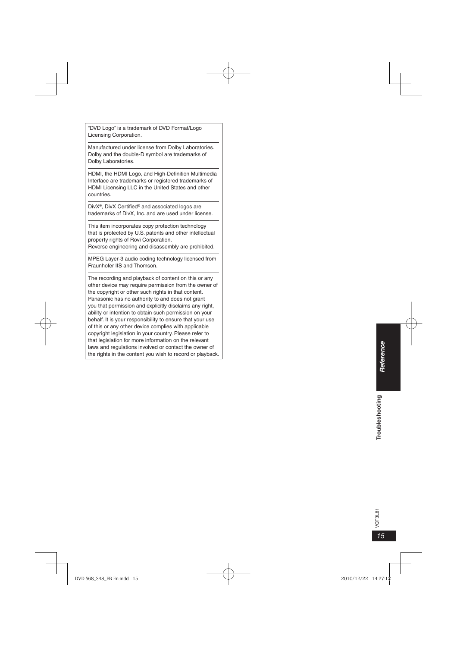"DVD Logo" is a trademark of DVD Format/Logo Licensing Corporation.

Manufactured under license from Dolby Laboratories. Dolby and the double-D symbol are trademarks of Dolby Laboratories.

HDMI, the HDMI Logo, and High-Definition Multimedia Interface are trademarks or registered trademarks of HDMI Licensing LLC in the United States and other countries.

DivX®, DivX Certified® and associated logos are trademarks of DivX, Inc. and are used under license.

This item incorporates copy protection technology that is protected by U.S. patents and other intellectual property rights of Rovi Corporation.

Reverse engineering and disassembly are prohibited.

MPEG Layer-3 audio coding technology licensed from Fraunhofer IIS and Thomson.

The recording and playback of content on this or any other device may require permission from the owner of the copyright or other such rights in that content. Panasonic has no authority to and does not grant you that permission and explicitly disclaims any right, ability or intention to obtain such permission on your behalf. It is your responsibility to ensure that your use of this or any other device complies with applicable copyright legislation in your country. Please refer to that legislation for more information on the relevant laws and regulations involved or contact the owner of the rights in the content you wish to record or playback.